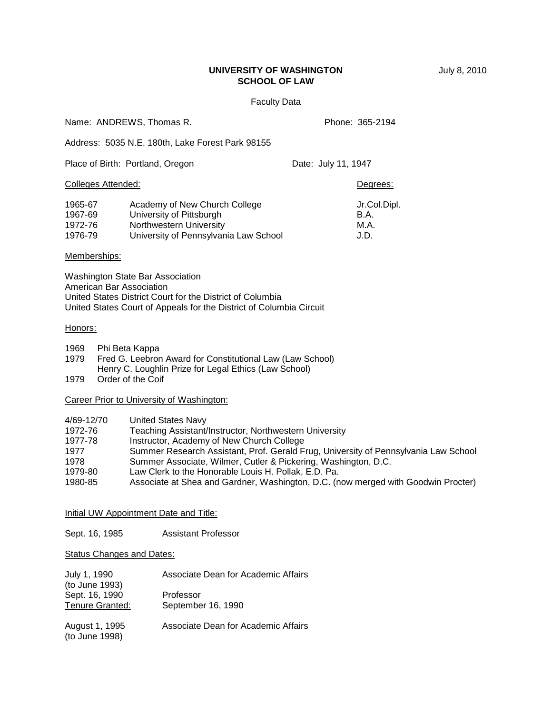# **UNIVERSITY OF WASHINGTON** July 8, 2010 **SCHOOL OF LAW**

### Faculty Data

Name: ANDREWS, Thomas R. Phone: 365-2194

Address: 5035 N.E. 180th, Lake Forest Park 98155

|                                          | Place of Birth: Portland, Oregon                                                                                              | Date: July 11, 1947 |                                      |
|------------------------------------------|-------------------------------------------------------------------------------------------------------------------------------|---------------------|--------------------------------------|
| <b>Colleges Attended:</b>                |                                                                                                                               |                     | Degrees:                             |
| 1965-67<br>1967-69<br>1972-76<br>1976-79 | Academy of New Church College<br>University of Pittsburgh<br>Northwestern University<br>University of Pennsylvania Law School |                     | Jr.Col.Dipl.<br>B.A.<br>M.A.<br>J.D. |

### Memberships:

Washington State Bar Association American Bar Association United States District Court for the District of Columbia United States Court of Appeals for the District of Columbia Circuit

### Honors:

- 1969 Phi Beta Kappa
- 1979 Fred G. Leebron Award for Constitutional Law (Law School)
- Henry C. Loughlin Prize for Legal Ethics (Law School)
- 1979 Order of the Coif

Career Prior to University of Washington:

| 4/69-12/70 | United States Navy                                                                  |
|------------|-------------------------------------------------------------------------------------|
| 1972-76    | Teaching Assistant/Instructor, Northwestern University                              |
| 1977-78    | Instructor, Academy of New Church College                                           |
| 1977       | Summer Research Assistant, Prof. Gerald Frug, University of Pennsylvania Law School |
| 1978       | Summer Associate, Wilmer, Cutler & Pickering, Washington, D.C.                      |
| 1979-80    | Law Clerk to the Honorable Louis H. Pollak, E.D. Pa.                                |
| 1980-85    | Associate at Shea and Gardner, Washington, D.C. (now merged with Goodwin Procter)   |

## Initial UW Appointment Date and Title:

Sept. 16, 1985 Assistant Professor

**Status Changes and Dates:** 

| July 1, 1990<br>(to June 1993)           | Associate Dean for Academic Affairs |
|------------------------------------------|-------------------------------------|
| Sept. 16, 1990<br><b>Tenure Granted:</b> | Professor<br>September 16, 1990     |
| August 1, 1995<br>(to June 1998)         | Associate Dean for Academic Affairs |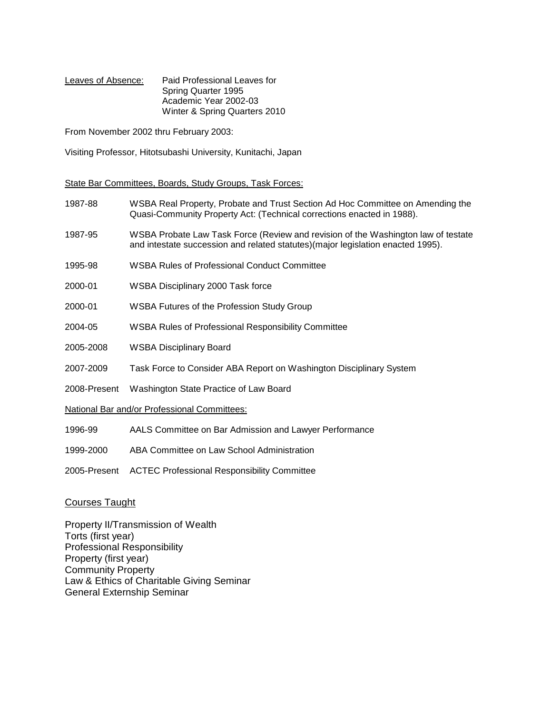Leaves of Absence: Paid Professional Leaves for Spring Quarter 1995 Academic Year 2002-03 Winter & Spring Quarters 2010

From November 2002 thru February 2003:

Visiting Professor, Hitotsubashi University, Kunitachi, Japan

State Bar Committees, Boards, Study Groups, Task Forces:

- 1987-88 WSBA Real Property, Probate and Trust Section Ad Hoc Committee on Amending the Quasi-Community Property Act: (Technical corrections enacted in 1988).
- 1987-95 WSBA Probate Law Task Force (Review and revision of the Washington law of testate and intestate succession and related statutes)(major legislation enacted 1995).
- 1995-98 WSBA Rules of Professional Conduct Committee
- 2000-01 WSBA Disciplinary 2000 Task force
- 2000-01 WSBA Futures of the Profession Study Group
- 2004-05 WSBA Rules of Professional Responsibility Committee
- 2005-2008 WSBA Disciplinary Board
- 2007-2009 Task Force to Consider ABA Report on Washington Disciplinary System
- 2008-Present Washington State Practice of Law Board

National Bar and/or Professional Committees:

- 1996-99 AALS Committee on Bar Admission and Lawyer Performance
- 1999-2000 ABA Committee on Law School Administration
- 2005-Present ACTEC Professional Responsibility Committee

# Courses Taught

Property II/Transmission of Wealth Torts (first year) Professional Responsibility Property (first year) Community Property Law & Ethics of Charitable Giving Seminar General Externship Seminar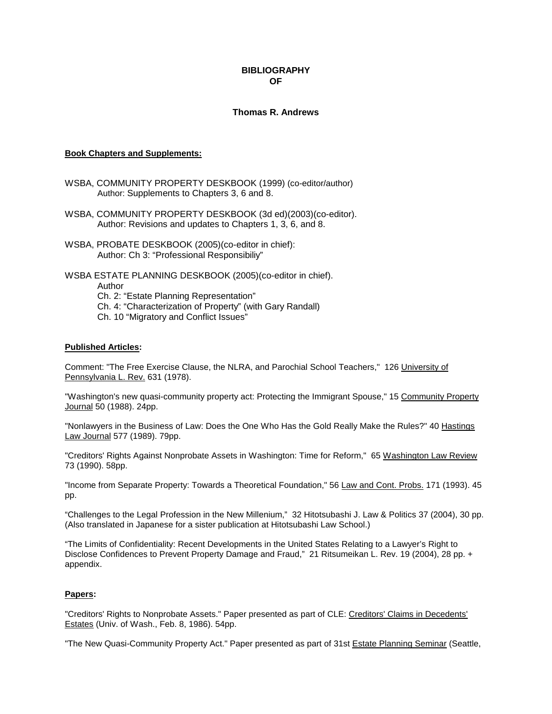## **BIBLIOGRAPHY OF**

## **Thomas R. Andrews**

#### **Book Chapters and Supplements:**

- WSBA, COMMUNITY PROPERTY DESKBOOK (1999) (co-editor/author) Author: Supplements to Chapters 3, 6 and 8.
- WSBA, COMMUNITY PROPERTY DESKBOOK (3d ed)(2003)(co-editor). Author: Revisions and updates to Chapters 1, 3, 6, and 8.
- WSBA, PROBATE DESKBOOK (2005)(co-editor in chief): Author: Ch 3: "Professional Responsibiliy"

WSBA ESTATE PLANNING DESKBOOK (2005)(co-editor in chief). Author Ch. 2: "Estate Planning Representation" Ch. 4: "Characterization of Property" (with Gary Randall) Ch. 10 "Migratory and Conflict Issues"

## **Published Articles:**

Comment: "The Free Exercise Clause, the NLRA, and Parochial School Teachers," 126 University of Pennsylvania L. Rev. 631 (1978).

"Washington's new quasi-community property act: Protecting the Immigrant Spouse," 15 Community Property Journal 50 (1988). 24pp.

"Nonlawyers in the Business of Law: Does the One Who Has the Gold Really Make the Rules?" 40 Hastings Law Journal 577 (1989). 79pp.

"Creditors' Rights Against Nonprobate Assets in Washington: Time for Reform," 65 Washington Law Review 73 (1990). 58pp.

"Income from Separate Property: Towards a Theoretical Foundation," 56 Law and Cont. Probs. 171 (1993). 45 pp.

"Challenges to the Legal Profession in the New Millenium," 32 Hitotsubashi J. Law & Politics 37 (2004), 30 pp. (Also translated in Japanese for a sister publication at Hitotsubashi Law School.)

"The Limits of Confidentiality: Recent Developments in the United States Relating to a Lawyer's Right to Disclose Confidences to Prevent Property Damage and Fraud," 21 Ritsumeikan L. Rev. 19 (2004), 28 pp. + appendix.

#### **Papers:**

"Creditors' Rights to Nonprobate Assets." Paper presented as part of CLE: Creditors' Claims in Decedents' Estates (Univ. of Wash., Feb. 8, 1986). 54pp.

"The New Quasi-Community Property Act." Paper presented as part of 31st Estate Planning Seminar (Seattle,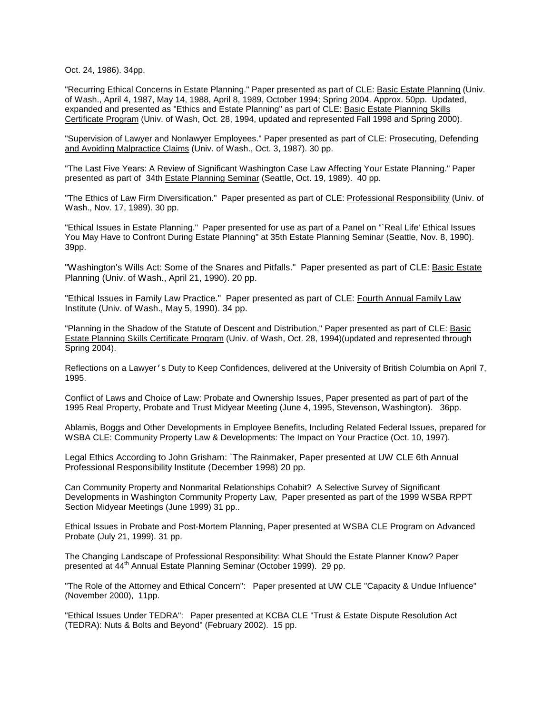Oct. 24, 1986). 34pp.

"Recurring Ethical Concerns in Estate Planning." Paper presented as part of CLE: Basic Estate Planning (Univ. of Wash., April 4, 1987, May 14, 1988, April 8, 1989, October 1994; Spring 2004. Approx. 50pp. Updated, expanded and presented as "Ethics and Estate Planning" as part of CLE: Basic Estate Planning Skills Certificate Program (Univ. of Wash, Oct. 28, 1994, updated and represented Fall 1998 and Spring 2000).

"Supervision of Lawyer and Nonlawyer Employees." Paper presented as part of CLE: Prosecuting, Defending and Avoiding Malpractice Claims (Univ. of Wash., Oct. 3, 1987). 30 pp.

"The Last Five Years: A Review of Significant Washington Case Law Affecting Your Estate Planning." Paper presented as part of 34th Estate Planning Seminar (Seattle, Oct. 19, 1989). 40 pp.

"The Ethics of Law Firm Diversification." Paper presented as part of CLE: Professional Responsibility (Univ. of Wash., Nov. 17, 1989). 30 pp.

"Ethical Issues in Estate Planning." Paper presented for use as part of a Panel on "`Real Life' Ethical Issues You May Have to Confront During Estate Planning" at 35th Estate Planning Seminar (Seattle, Nov. 8, 1990). 39pp.

"Washington's Wills Act: Some of the Snares and Pitfalls." Paper presented as part of CLE: Basic Estate Planning (Univ. of Wash., April 21, 1990). 20 pp.

"Ethical Issues in Family Law Practice." Paper presented as part of CLE: Fourth Annual Family Law Institute (Univ. of Wash., May 5, 1990). 34 pp.

"Planning in the Shadow of the Statute of Descent and Distribution," Paper presented as part of CLE: Basic Estate Planning Skills Certificate Program (Univ. of Wash, Oct. 28, 1994)(updated and represented through Spring 2004).

Reflections on a Lawyer's Duty to Keep Confidences, delivered at the University of British Columbia on April 7, 1995.

Conflict of Laws and Choice of Law: Probate and Ownership Issues, Paper presented as part of part of the 1995 Real Property, Probate and Trust Midyear Meeting (June 4, 1995, Stevenson, Washington). 36pp.

Ablamis, Boggs and Other Developments in Employee Benefits, Including Related Federal Issues, prepared for WSBA CLE: Community Property Law & Developments: The Impact on Your Practice (Oct. 10, 1997).

Legal Ethics According to John Grisham: `The Rainmaker, Paper presented at UW CLE 6th Annual Professional Responsibility Institute (December 1998) 20 pp.

Can Community Property and Nonmarital Relationships Cohabit? A Selective Survey of Significant Developments in Washington Community Property Law, Paper presented as part of the 1999 WSBA RPPT Section Midyear Meetings (June 1999) 31 pp..

Ethical Issues in Probate and Post-Mortem Planning, Paper presented at WSBA CLE Program on Advanced Probate (July 21, 1999). 31 pp.

The Changing Landscape of Professional Responsibility: What Should the Estate Planner Know? Paper presented at 44<sup>th</sup> Annual Estate Planning Seminar (October 1999). 29 pp.

"The Role of the Attorney and Ethical Concern": Paper presented at UW CLE "Capacity & Undue Influence" (November 2000), 11pp.

"Ethical Issues Under TEDRA": Paper presented at KCBA CLE "Trust & Estate Dispute Resolution Act (TEDRA): Nuts & Bolts and Beyond" (February 2002). 15 pp.